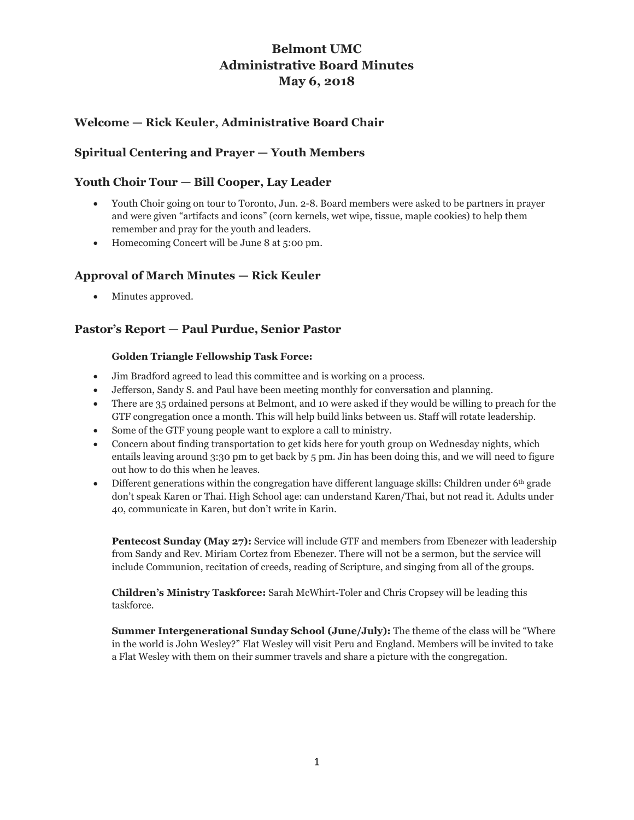# **Belmont UMC Administrative Board Minutes May 6, 2018**

# **Welcome — Rick Keuler, Administrative Board Chair**

# **Spiritual Centering and Prayer — Youth Members**

# **Youth Choir Tour — Bill Cooper, Lay Leader**

- Youth Choir going on tour to Toronto, Jun. 2-8. Board members were asked to be partners in prayer and were given "artifacts and icons" (corn kernels, wet wipe, tissue, maple cookies) to help them remember and pray for the youth and leaders.
- Homecoming Concert will be June 8 at 5:00 pm.

# **Approval of March Minutes — Rick Keuler**

• Minutes approved.

# **Pastor's Report — Paul Purdue, Senior Pastor**

### **Golden Triangle Fellowship Task Force:**

- Jim Bradford agreed to lead this committee and is working on a process.
- Jefferson, Sandy S. and Paul have been meeting monthly for conversation and planning.
- There are 35 ordained persons at Belmont, and 10 were asked if they would be willing to preach for the GTF congregation once a month. This will help build links between us. Staff will rotate leadership.
- Some of the GTF young people want to explore a call to ministry.
- Concern about finding transportation to get kids here for youth group on Wednesday nights, which entails leaving around 3:30 pm to get back by 5 pm. Jin has been doing this, and we will need to figure out how to do this when he leaves.
- Different generations within the congregation have different language skills: Children under  $6<sup>th</sup>$  grade don't speak Karen or Thai. High School age: can understand Karen/Thai, but not read it. Adults under 40, communicate in Karen, but don't write in Karin.

**Pentecost Sunday (May 27):** Service will include GTF and members from Ebenezer with leadership from Sandy and Rev. Miriam Cortez from Ebenezer. There will not be a sermon, but the service will include Communion, recitation of creeds, reading of Scripture, and singing from all of the groups.

**Children's Ministry Taskforce:** Sarah McWhirt-Toler and Chris Cropsey will be leading this taskforce.

**Summer Intergenerational Sunday School (June/July):** The theme of the class will be "Where" in the world is John Wesley?" Flat Wesley will visit Peru and England. Members will be invited to take a Flat Wesley with them on their summer travels and share a picture with the congregation.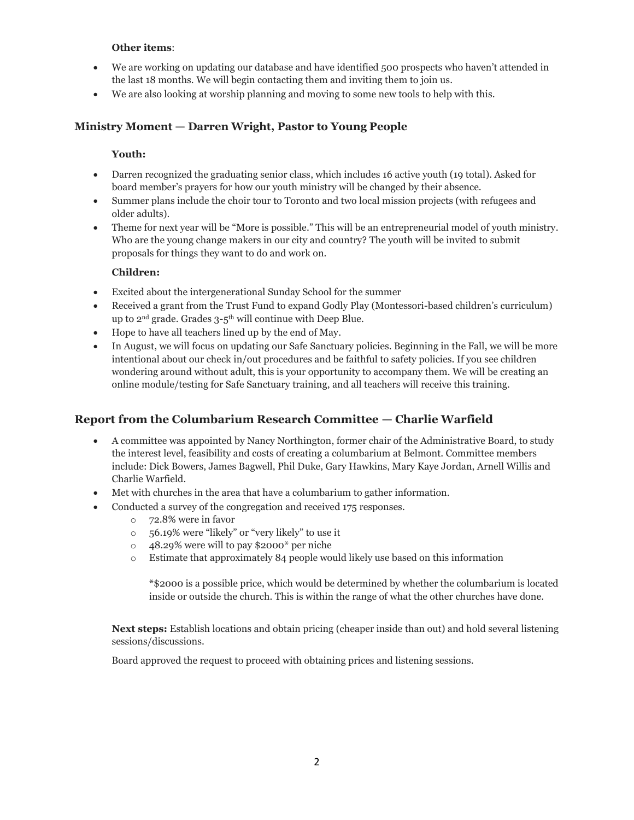### **Other items**:

- We are working on updating our database and have identified 500 prospects who haven't attended in the last 18 months. We will begin contacting them and inviting them to join us.
- We are also looking at worship planning and moving to some new tools to help with this.

### **Ministry Moment — Darren Wright, Pastor to Young People**

### **Youth:**

- Darren recognized the graduating senior class, which includes 16 active youth (19 total). Asked for board member's prayers for how our youth ministry will be changed by their absence.
- Summer plans include the choir tour to Toronto and two local mission projects (with refugees and older adults).
- Theme for next year will be "More is possible." This will be an entrepreneurial model of youth ministry. Who are the young change makers in our city and country? The youth will be invited to submit proposals for things they want to do and work on.

### **Children:**

- Excited about the intergenerational Sunday School for the summer
- Received a grant from the Trust Fund to expand Godly Play (Montessori-based children's curriculum) up to 2nd grade. Grades 3-5 th will continue with Deep Blue.
- Hope to have all teachers lined up by the end of May.
- In August, we will focus on updating our Safe Sanctuary policies. Beginning in the Fall, we will be more intentional about our check in/out procedures and be faithful to safety policies. If you see children wondering around without adult, this is your opportunity to accompany them. We will be creating an online module/testing for Safe Sanctuary training, and all teachers will receive this training.

# **Report from the Columbarium Research Committee — Charlie Warfield**

- A committee was appointed by Nancy Northington, former chair of the Administrative Board, to study the interest level, feasibility and costs of creating a columbarium at Belmont. Committee members include: Dick Bowers, James Bagwell, Phil Duke, Gary Hawkins, Mary Kaye Jordan, Arnell Willis and Charlie Warfield.
- Met with churches in the area that have a columbarium to gather information.
- Conducted a survey of the congregation and received 175 responses.
	- o 72.8% were in favor
	- o 56.19% were "likely" or "very likely" to use it
	- o 48.29% were will to pay \$2000\* per niche
	- o Estimate that approximately 84 people would likely use based on this information

\*\$2000 is a possible price, which would be determined by whether the columbarium is located inside or outside the church. This is within the range of what the other churches have done.

**Next steps:** Establish locations and obtain pricing (cheaper inside than out) and hold several listening sessions/discussions.

Board approved the request to proceed with obtaining prices and listening sessions.